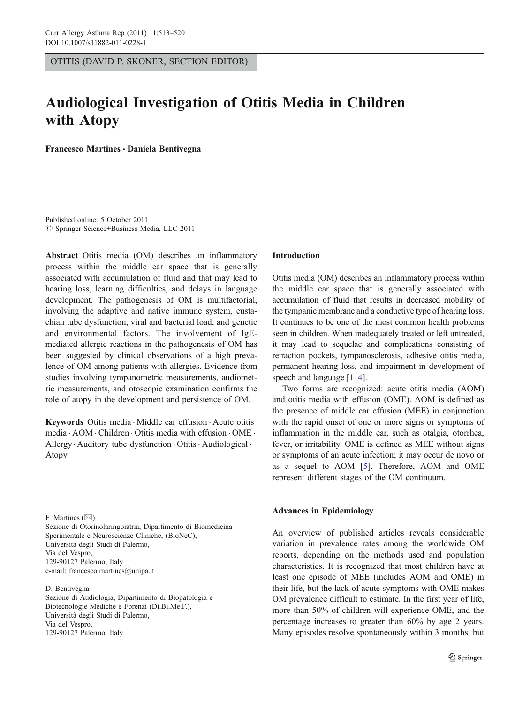OTITIS (DAVID P. SKONER, SECTION EDITOR)

# Audiological Investigation of Otitis Media in Children with Atopy

Francesco Martines · Daniela Bentivegna

Published online: 5 October 2011  $©$  Springer Science+Business Media, LLC 2011

Abstract Otitis media (OM) describes an inflammatory process within the middle ear space that is generally associated with accumulation of fluid and that may lead to hearing loss, learning difficulties, and delays in language development. The pathogenesis of OM is multifactorial, involving the adaptive and native immune system, eustachian tube dysfunction, viral and bacterial load, and genetic and environmental factors. The involvement of IgEmediated allergic reactions in the pathogenesis of OM has been suggested by clinical observations of a high prevalence of OM among patients with allergies. Evidence from studies involving tympanometric measurements, audiometric measurements, and otoscopic examination confirms the role of atopy in the development and persistence of OM.

Keywords Otitis media . Middle ear effusion . Acute otitis media . AOM . Children . Otitis media with effusion . OME . Allergy · Auditory tube dysfunction · Otitis · Audiological · Atopy

F. Martines  $(\boxtimes)$ 

Sezione di Otorinolaringoiatria, Dipartimento di Biomedicina Sperimentale e Neuroscienze Cliniche, (BioNeC), Università degli Studi di Palermo, Via del Vespro, 129-90127 Palermo, Italy e-mail: francesco.martines@unipa.it

D. Bentivegna

Sezione di Audiologia, Dipartimento di Biopatologia e Biotecnologie Mediche e Forenzi (Di.Bi.Me.F.), Università degli Studi di Palermo, Via del Vespro, 129-90127 Palermo, Italy

#### Introduction

Otitis media (OM) describes an inflammatory process within the middle ear space that is generally associated with accumulation of fluid that results in decreased mobility of the tympanic membrane and a conductive type of hearing loss. It continues to be one of the most common health problems seen in children. When inadequately treated or left untreated, it may lead to sequelae and complications consisting of retraction pockets, tympanosclerosis, adhesive otitis media, permanent hearing loss, and impairment in development of speech and language [[1](#page-6-0)–[4](#page-6-0)].

Two forms are recognized: acute otitis media (AOM) and otitis media with effusion (OME). AOM is defined as the presence of middle ear effusion (MEE) in conjunction with the rapid onset of one or more signs or symptoms of inflammation in the middle ear, such as otalgia, otorrhea, fever, or irritability. OME is defined as MEE without signs or symptoms of an acute infection; it may occur de novo or as a sequel to AOM [\[5](#page-6-0)]. Therefore, AOM and OME represent different stages of the OM continuum.

## Advances in Epidemiology

An overview of published articles reveals considerable variation in prevalence rates among the worldwide OM reports, depending on the methods used and population characteristics. It is recognized that most children have at least one episode of MEE (includes AOM and OME) in their life, but the lack of acute symptoms with OME makes OM prevalence difficult to estimate. In the first year of life, more than 50% of children will experience OME, and the percentage increases to greater than 60% by age 2 years. Many episodes resolve spontaneously within 3 months, but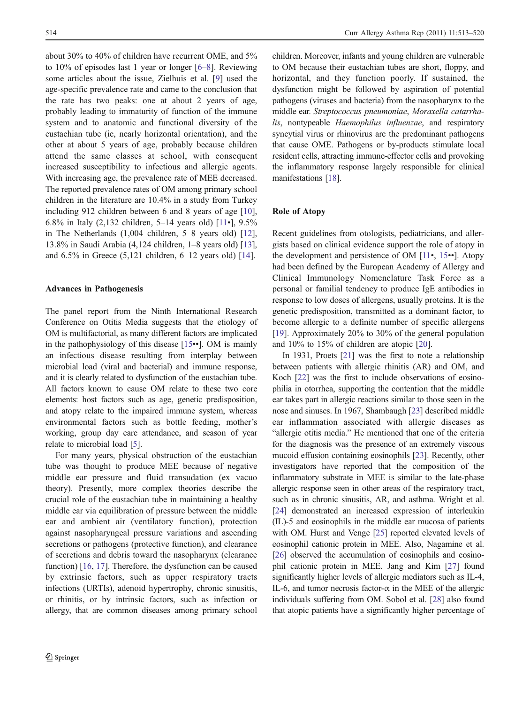about 30% to 40% of children have recurrent OME, and 5% to 10% of episodes last 1 year or longer [\[6](#page-6-0)–[8](#page-6-0)]. Reviewing some articles about the issue, Zielhuis et al. [\[9](#page-6-0)] used the age-specific prevalence rate and came to the conclusion that the rate has two peaks: one at about 2 years of age, probably leading to immaturity of function of the immune system and to anatomic and functional diversity of the eustachian tube (ie, nearly horizontal orientation), and the other at about 5 years of age, probably because children attend the same classes at school, with consequent increased susceptibility to infectious and allergic agents. With increasing age, the prevalence rate of MEE decreased. The reported prevalence rates of OM among primary school children in the literature are 10.4% in a study from Turkey including 912 children between 6 and 8 years of age [\[10](#page-6-0)], 6.8% in Italy (2,132 children, 5–14 years old) [\[11](#page-6-0)•], 9.5% in The Netherlands (1,004 children, 5–8 years old) [\[12](#page-6-0)], 13.8% in Saudi Arabia (4,124 children, 1–8 years old) [\[13](#page-6-0)], and 6.5% in Greece (5,121 children, 6–12 years old) [[14\]](#page-6-0).

#### Advances in Pathogenesis

The panel report from the Ninth International Research Conference on Otitis Media suggests that the etiology of OM is multifactorial, as many different factors are implicated in the pathophysiology of this disease [[15](#page-6-0)••]. OM is mainly an infectious disease resulting from interplay between microbial load (viral and bacterial) and immune response, and it is clearly related to dysfunction of the eustachian tube. All factors known to cause OM relate to these two core elements: host factors such as age, genetic predisposition, and atopy relate to the impaired immune system, whereas environmental factors such as bottle feeding, mother's working, group day care attendance, and season of year relate to microbial load [\[5](#page-6-0)].

For many years, physical obstruction of the eustachian tube was thought to produce MEE because of negative middle ear pressure and fluid transudation (ex vacuo theory). Presently, more complex theories describe the crucial role of the eustachian tube in maintaining a healthy middle ear via equilibration of pressure between the middle ear and ambient air (ventilatory function), protection against nasopharyngeal pressure variations and ascending secretions or pathogens (protective function), and clearance of secretions and debris toward the nasopharynx (clearance function) [[16,](#page-6-0) [17\]](#page-6-0). Therefore, the dysfunction can be caused by extrinsic factors, such as upper respiratory tracts infections (URTIs), adenoid hypertrophy, chronic sinusitis, or rhinitis, or by intrinsic factors, such as infection or allergy, that are common diseases among primary school children. Moreover, infants and young children are vulnerable to OM because their eustachian tubes are short, floppy, and horizontal, and they function poorly. If sustained, the dysfunction might be followed by aspiration of potential pathogens (viruses and bacteria) from the nasopharynx to the middle ear. Streptococcus pneumoniae, Moraxella catarrhalis, nontypeable Haemophilus influenzae, and respiratory syncytial virus or rhinovirus are the predominant pathogens that cause OME. Pathogens or by-products stimulate local resident cells, attracting immune-effector cells and provoking the inflammatory response largely responsible for clinical manifestations [[18](#page-6-0)].

## Role of Atopy

Recent guidelines from otologists, pediatricians, and allergists based on clinical evidence support the role of atopy in the development and persistence of OM [[11](#page-6-0)•, [15](#page-6-0)••]. Atopy had been defined by the European Academy of Allergy and Clinical Immunology Nomenclature Task Force as a personal or familial tendency to produce IgE antibodies in response to low doses of allergens, usually proteins. It is the genetic predisposition, transmitted as a dominant factor, to become allergic to a definite number of specific allergens [\[19](#page-6-0)]. Approximately 20% to 30% of the general population and 10% to 15% of children are atopic [[20\]](#page-6-0).

In 1931, Proets [[21](#page-6-0)] was the first to note a relationship between patients with allergic rhinitis (AR) and OM, and Koch [[22](#page-6-0)] was the first to include observations of eosinophilia in otorrhea, supporting the contention that the middle ear takes part in allergic reactions similar to those seen in the nose and sinuses. In 1967, Shambaugh [\[23](#page-6-0)] described middle ear inflammation associated with allergic diseases as "allergic otitis media." He mentioned that one of the criteria for the diagnosis was the presence of an extremely viscous mucoid effusion containing eosinophils [[23\]](#page-6-0). Recently, other investigators have reported that the composition of the inflammatory substrate in MEE is similar to the late-phase allergic response seen in other areas of the respiratory tract, such as in chronic sinusitis, AR, and asthma. Wright et al. [\[24](#page-6-0)] demonstrated an increased expression of interleukin (IL)-5 and eosinophils in the middle ear mucosa of patients with OM. Hurst and Venge [\[25](#page-6-0)] reported elevated levels of eosinophil cationic protein in MEE. Also, Nagamine et al. [\[26](#page-6-0)] observed the accumulation of eosinophils and eosinophil cationic protein in MEE. Jang and Kim [\[27](#page-6-0)] found significantly higher levels of allergic mediators such as IL-4, IL-6, and tumor necrosis factor- $\alpha$  in the MEE of the allergic individuals suffering from OM. Sobol et al. [\[28](#page-7-0)] also found that atopic patients have a significantly higher percentage of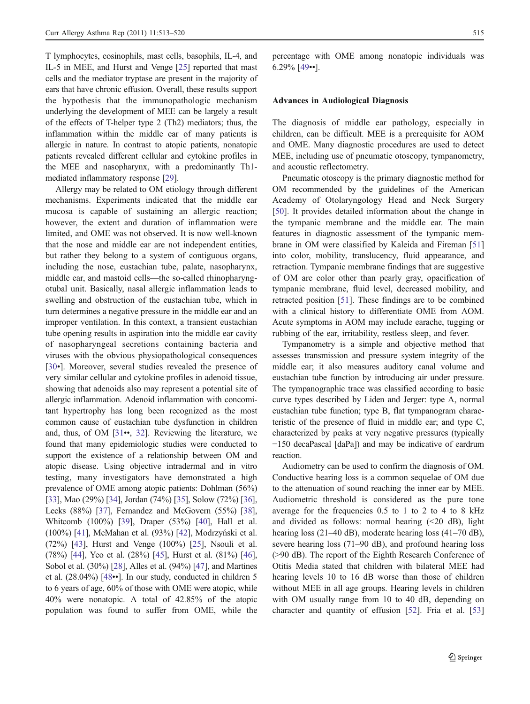T lymphocytes, eosinophils, mast cells, basophils, IL-4, and IL-5 in MEE, and Hurst and Venge [[25\]](#page-6-0) reported that mast cells and the mediator tryptase are present in the majority of ears that have chronic effusion. Overall, these results support the hypothesis that the immunopathologic mechanism underlying the development of MEE can be largely a result of the effects of T-helper type 2 (Th2) mediators; thus, the inflammation within the middle ear of many patients is allergic in nature. In contrast to atopic patients, nonatopic patients revealed different cellular and cytokine profiles in the MEE and nasopharynx, with a predominantly Th1 mediated inflammatory response [[29](#page-7-0)].

Allergy may be related to OM etiology through different mechanisms. Experiments indicated that the middle ear mucosa is capable of sustaining an allergic reaction; however, the extent and duration of inflammation were limited, and OME was not observed. It is now well-known that the nose and middle ear are not independent entities, but rather they belong to a system of contiguous organs, including the nose, eustachian tube, palate, nasopharynx, middle ear, and mastoid cells—the so-called rhinopharyngotubal unit. Basically, nasal allergic inflammation leads to swelling and obstruction of the eustachian tube, which in turn determines a negative pressure in the middle ear and an improper ventilation. In this context, a transient eustachian tube opening results in aspiration into the middle ear cavity of nasopharyngeal secretions containing bacteria and viruses with the obvious physiopathological consequences [\[30](#page-7-0)•]. Moreover, several studies revealed the presence of very similar cellular and cytokine profiles in adenoid tissue, showing that adenoids also may represent a potential site of allergic inflammation. Adenoid inflammation with concomitant hypertrophy has long been recognized as the most common cause of eustachian tube dysfunction in children and, thus, of OM [\[31](#page-7-0)••, [32\]](#page-7-0). Reviewing the literature, we found that many epidemiologic studies were conducted to support the existence of a relationship between OM and atopic disease. Using objective intradermal and in vitro testing, many investigators have demonstrated a high prevalence of OME among atopic patients: Dohlman (56%) [\[33\]](#page-7-0), Mao (29%) [\[34](#page-7-0)], Jordan (74%) [[35](#page-7-0)], Solow (72%) [[36\]](#page-7-0), Lecks (88%) [[37\]](#page-7-0), Fernandez and McGovern (55%) [[38\]](#page-7-0), Whitcomb (100%) [\[39\]](#page-7-0), Draper (53%) [\[40](#page-7-0)], Hall et al. (100%) [\[41](#page-7-0)], McMahan et al. (93%) [\[42\]](#page-7-0), Modrzyński et al. (72%) [\[43](#page-7-0)], Hurst and Venge (100%) [\[25](#page-6-0)], Nsouli et al. (78%) [\[44\]](#page-7-0), Yeo et al. (28%) [[45\]](#page-7-0), Hurst et al. (81%) [[46\]](#page-7-0), Sobol et al. (30%) [[28\]](#page-7-0), Alles et al. (94%) [\[47\]](#page-7-0), and Martines et al. (28.04%) [[48](#page-7-0)••]. In our study, conducted in children 5 to 6 years of age, 60% of those with OME were atopic, while 40% were nonatopic. A total of 42.85% of the atopic population was found to suffer from OME, while the

percentage with OME among nonatopic individuals was 6.29% [[49](#page-7-0)••].

## Advances in Audiological Diagnosis

The diagnosis of middle ear pathology, especially in children, can be difficult. MEE is a prerequisite for AOM and OME. Many diagnostic procedures are used to detect MEE, including use of pneumatic otoscopy, tympanometry, and acoustic reflectometry.

Pneumatic otoscopy is the primary diagnostic method for OM recommended by the guidelines of the American Academy of Otolaryngology Head and Neck Surgery [\[50](#page-7-0)]. It provides detailed information about the change in the tympanic membrane and the middle ear. The main features in diagnostic assessment of the tympanic membrane in OM were classified by Kaleida and Fireman [\[51](#page-7-0)] into color, mobility, translucency, fluid appearance, and retraction. Tympanic membrane findings that are suggestive of OM are color other than pearly gray, opacification of tympanic membrane, fluid level, decreased mobility, and retracted position [[51\]](#page-7-0). These findings are to be combined with a clinical history to differentiate OME from AOM. Acute symptoms in AOM may include earache, tugging or rubbing of the ear, irritability, restless sleep, and fever.

Tympanometry is a simple and objective method that assesses transmission and pressure system integrity of the middle ear; it also measures auditory canal volume and eustachian tube function by introducing air under pressure. The tympanographic trace was classified according to basic curve types described by Liden and Jerger: type A, normal eustachian tube function; type B, flat tympanogram characteristic of the presence of fluid in middle ear; and type C, characterized by peaks at very negative pressures (typically −150 decaPascal [daPa]) and may be indicative of eardrum reaction.

Audiometry can be used to confirm the diagnosis of OM. Conductive hearing loss is a common sequelae of OM due to the attenuation of sound reaching the inner ear by MEE. Audiometric threshold is considered as the pure tone average for the frequencies 0.5 to 1 to 2 to 4 to 8 kHz and divided as follows: normal hearing  $(\leq 20 \text{ dB})$ , light hearing loss (21–40 dB), moderate hearing loss (41–70 dB), severe hearing loss (71–90 dB), and profound hearing loss (>90 dB). The report of the Eighth Research Conference of Otitis Media stated that children with bilateral MEE had hearing levels 10 to 16 dB worse than those of children without MEE in all age groups. Hearing levels in children with OM usually range from 10 to 40 dB, depending on character and quantity of effusion [[52\]](#page-7-0). Fria et al. [\[53](#page-7-0)]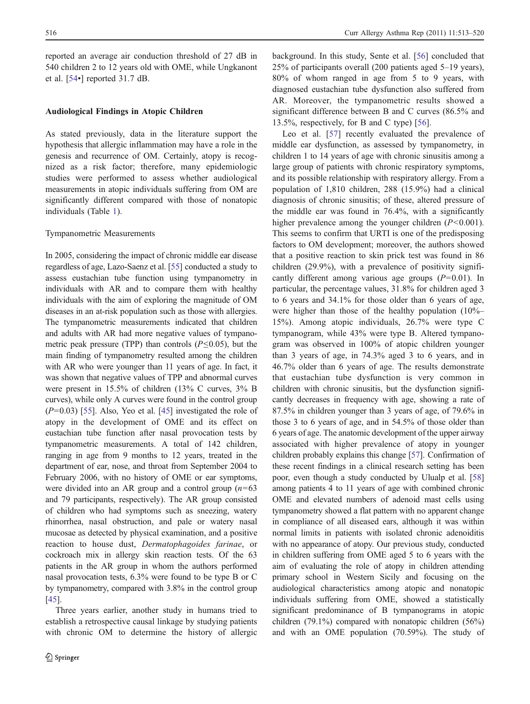reported an average air conduction threshold of 27 dB in 540 children 2 to 12 years old with OME, while Ungkanont et al. [\[54](#page-7-0)•] reported 31.7 dB.

## Audiological Findings in Atopic Children

As stated previously, data in the literature support the hypothesis that allergic inflammation may have a role in the genesis and recurrence of OM. Certainly, atopy is recognized as a risk factor; therefore, many epidemiologic studies were performed to assess whether audiological measurements in atopic individuals suffering from OM are significantly different compared with those of nonatopic individuals (Table [1\)](#page-4-0).

#### Tympanometric Measurements

In 2005, considering the impact of chronic middle ear disease regardless of age, Lazo-Saenz et al. [\[55\]](#page-7-0) conducted a study to assess eustachian tube function using tympanometry in individuals with AR and to compare them with healthy individuals with the aim of exploring the magnitude of OM diseases in an at-risk population such as those with allergies. The tympanometric measurements indicated that children and adults with AR had more negative values of tympanometric peak pressure (TPP) than controls ( $P \le 0.05$ ), but the main finding of tympanometry resulted among the children with AR who were younger than 11 years of age. In fact, it was shown that negative values of TPP and abnormal curves were present in 15.5% of children (13% C curves, 3% B curves), while only A curves were found in the control group  $(P=0.03)$  [[55](#page-7-0)]. Also, Yeo et al. [\[45](#page-7-0)] investigated the role of atopy in the development of OME and its effect on eustachian tube function after nasal provocation tests by tympanometric measurements. A total of 142 children, ranging in age from 9 months to 12 years, treated in the department of ear, nose, and throat from September 2004 to February 2006, with no history of OME or ear symptoms, were divided into an AR group and a control group  $(n=63)$ and 79 participants, respectively). The AR group consisted of children who had symptoms such as sneezing, watery rhinorrhea, nasal obstruction, and pale or watery nasal mucosae as detected by physical examination, and a positive reaction to house dust, Dermatophagoides farinae, or cockroach mix in allergy skin reaction tests. Of the 63 patients in the AR group in whom the authors performed nasal provocation tests, 6.3% were found to be type B or C by tympanometry, compared with 3.8% in the control group [\[45\]](#page-7-0).

Three years earlier, another study in humans tried to establish a retrospective causal linkage by studying patients with chronic OM to determine the history of allergic background. In this study, Sente et al. [\[56](#page-7-0)] concluded that 25% of participants overall (200 patients aged 5–19 years), 80% of whom ranged in age from 5 to 9 years, with diagnosed eustachian tube dysfunction also suffered from AR. Moreover, the tympanometric results showed a significant difference between B and C curves (86.5% and 13.5%, respectively, for B and C type) [\[56](#page-7-0)].

Leo et al. [[57\]](#page-7-0) recently evaluated the prevalence of middle ear dysfunction, as assessed by tympanometry, in children 1 to 14 years of age with chronic sinusitis among a large group of patients with chronic respiratory symptoms, and its possible relationship with respiratory allergy. From a population of 1,810 children, 288 (15.9%) had a clinical diagnosis of chronic sinusitis; of these, altered pressure of the middle ear was found in 76.4%, with a significantly higher prevalence among the younger children  $(P<0.001)$ . This seems to confirm that URTI is one of the predisposing factors to OM development; moreover, the authors showed that a positive reaction to skin prick test was found in 86 children (29.9%), with a prevalence of positivity significantly different among various age groups  $(P=0.01)$ . In particular, the percentage values, 31.8% for children aged 3 to 6 years and 34.1% for those older than 6 years of age, were higher than those of the healthy population (10%– 15%). Among atopic individuals, 26.7% were type C tympanogram, while 43% were type B. Altered tympanogram was observed in 100% of atopic children younger than 3 years of age, in 74.3% aged 3 to 6 years, and in 46.7% older than 6 years of age. The results demonstrate that eustachian tube dysfunction is very common in children with chronic sinusitis, but the dysfunction significantly decreases in frequency with age, showing a rate of 87.5% in children younger than 3 years of age, of 79.6% in those 3 to 6 years of age, and in 54.5% of those older than 6 years of age. The anatomic development of the upper airway associated with higher prevalence of atopy in younger children probably explains this change [\[57\]](#page-7-0). Confirmation of these recent findings in a clinical research setting has been poor, even though a study conducted by Ulualp et al. [\[58](#page-7-0)] among patients 4 to 11 years of age with combined chronic OME and elevated numbers of adenoid mast cells using tympanometry showed a flat pattern with no apparent change in compliance of all diseased ears, although it was within normal limits in patients with isolated chronic adenoiditis with no appearance of atopy. Our previous study, conducted in children suffering from OME aged 5 to 6 years with the aim of evaluating the role of atopy in children attending primary school in Western Sicily and focusing on the audiological characteristics among atopic and nonatopic individuals suffering from OME, showed a statistically significant predominance of B tympanograms in atopic children (79.1%) compared with nonatopic children (56%) and with an OME population (70.59%). The study of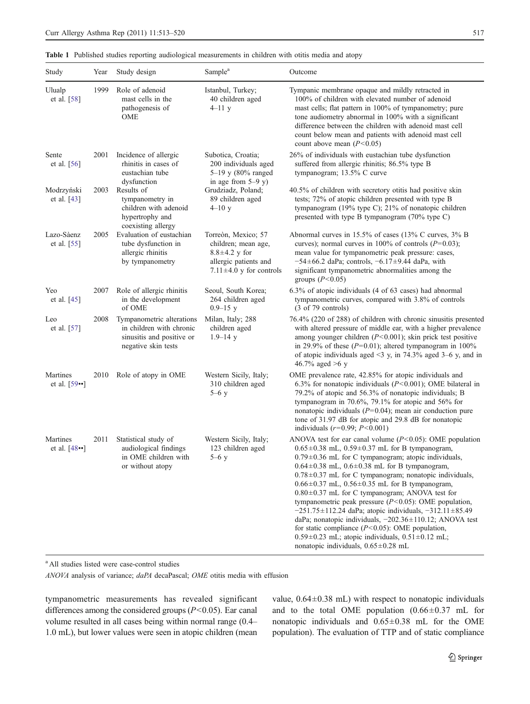<span id="page-4-0"></span>Table 1 Published studies reporting audiological measurements in children with otitis media and atopy

| Study                          | Year | Study design                                                                                              | Sample <sup>a</sup>                                                                                                         | Outcome                                                                                                                                                                                                                                                                                                                                                                                                                                                                                                                                                                                                                                                                                                                                                                                             |
|--------------------------------|------|-----------------------------------------------------------------------------------------------------------|-----------------------------------------------------------------------------------------------------------------------------|-----------------------------------------------------------------------------------------------------------------------------------------------------------------------------------------------------------------------------------------------------------------------------------------------------------------------------------------------------------------------------------------------------------------------------------------------------------------------------------------------------------------------------------------------------------------------------------------------------------------------------------------------------------------------------------------------------------------------------------------------------------------------------------------------------|
| Ulualp<br>et al. $[58]$        | 1999 | Role of adenoid<br>mast cells in the<br>pathogenesis of<br>OME                                            | Istanbul, Turkey;<br>40 children aged<br>$4 - 11$ y                                                                         | Tympanic membrane opaque and mildly retracted in<br>100% of children with elevated number of adenoid<br>mast cells; flat pattern in 100% of tympanometry; pure<br>tone audiometry abnormal in 100% with a significant<br>difference between the children with adenoid mast cell<br>count below mean and patients with adenoid mast cell<br>count above mean $(P<0.05)$                                                                                                                                                                                                                                                                                                                                                                                                                              |
| Sente<br>et al. [56]           | 2001 | Incidence of allergic<br>rhinitis in cases of<br>eustachian tube<br>dysfunction                           | Subotica, Croatia;<br>200 individuals aged<br>5-19 y (80% ranged<br>in age from $5-9$ y)                                    | 26% of individuals with eustachian tube dysfunction<br>suffered from allergic rhinitis; 86.5% type B<br>tympanogram; 13.5% C curve                                                                                                                                                                                                                                                                                                                                                                                                                                                                                                                                                                                                                                                                  |
| Modrzyński<br>et al. $[43]$    | 2003 | Results of<br>tympanometry in<br>children with adenoid<br>hypertrophy and<br>coexisting allergy           | Grudziadz, Poland;<br>89 children aged<br>$4 - 10y$                                                                         | 40.5% of children with secretory otitis had positive skin<br>tests; 72% of atopic children presented with type B<br>tympanogram (19% type C); 21% of nonatopic children<br>presented with type B tympanogram (70% type C)                                                                                                                                                                                                                                                                                                                                                                                                                                                                                                                                                                           |
| Lazo-Sàenz<br>et al. [55]      | 2005 | Evaluation of eustachian<br>tube dysfunction in<br>allergic rhinitis<br>by tympanometry                   | Torreòn, Mexico; 57<br>children; mean age,<br>$8.8 \pm 4.2$ y for<br>allergic patients and<br>$7.11 \pm 4.0$ y for controls | Abnormal curves in 15.5% of cases (13% C curves, 3% B<br>curves); normal curves in 100% of controls $(P=0.03)$ ;<br>mean value for tympanometric peak pressure: cases,<br>$-54\pm66.2$ daPa; controls, $-6.17\pm9.44$ daPa, with<br>significant tympanometric abnormalities among the<br>groups $(P<0.05)$                                                                                                                                                                                                                                                                                                                                                                                                                                                                                          |
| Yeo<br>et al. $[45]$           | 2007 | Role of allergic rhinitis<br>in the development<br>of OME                                                 | Seoul, South Korea;<br>264 children aged<br>$0.9 - 15$ y                                                                    | 6.3% of atopic individuals (4 of 63 cases) had abnormal<br>tympanometric curves, compared with 3.8% of controls<br>$(3 \text{ of } 79 \text{ controls})$                                                                                                                                                                                                                                                                                                                                                                                                                                                                                                                                                                                                                                            |
| Leo<br>et al. [57]             | 2008 | Tympanometric alterations<br>in children with chronic<br>sinusitis and positive or<br>negative skin tests | Milan, Italy; 288<br>children aged<br>$1.9 - 14$ y                                                                          | 76.4% (220 of 288) of children with chronic sinusitis presented<br>with altered pressure of middle ear, with a higher prevalence<br>among younger children $(P<0.001)$ ; skin prick test positive<br>in 29.9% of these ( $P=0.01$ ); altered tympanogram in 100%<br>of atopic individuals aged $\leq$ 3 y, in 74.3% aged 3–6 y, and in<br>46.7% aged >6 y                                                                                                                                                                                                                                                                                                                                                                                                                                           |
| Martines<br>et al. $[59]$      |      | 2010 Role of atopy in OME                                                                                 | Western Sicily, Italy;<br>310 children aged<br>$5-6y$                                                                       | OME prevalence rate, 42.85% for atopic individuals and<br>6.3% for nonatopic individuals ( $P<0.001$ ); OME bilateral in<br>79.2% of atopic and 56.3% of nonatopic individuals; B<br>tympanogram in 70.6%, 79.1% for atopic and 56% for<br>nonatopic individuals $(P=0.04)$ ; mean air conduction pure<br>tone of 31.97 dB for atopic and 29.8 dB for nonatopic<br>individuals $(r=0.99; P<0.001)$                                                                                                                                                                                                                                                                                                                                                                                                  |
| Martines<br>et al. $[48\cdot]$ | 2011 | Statistical study of<br>audiological findings<br>in OME children with<br>or without atopy                 | Western Sicily, Italy;<br>123 children aged<br>$5-6y$                                                                       | ANOVA test for ear canal volume $(P<0.05)$ : OME population<br>$0.65 \pm 0.38$ mL, $0.59 \pm 0.37$ mL for B tympanogram,<br>$0.79 \pm 0.36$ mL for C tympanogram; atopic individuals,<br>$0.64 \pm 0.38$ mL, $0.6 \pm 0.38$ mL for B tympanogram,<br>$0.78 \pm 0.37$ mL for C tympanogram; nonatopic individuals,<br>$0.66 \pm 0.37$ mL, $0.56 \pm 0.35$ mL for B tympanogram,<br>$0.80\pm0.37$ mL for C tympanogram; ANOVA test for<br>tympanometric peak pressure $(P<0.05)$ : OME population,<br>$-251.75 \pm 112.24$ daPa; atopic individuals, $-312.11 \pm 85.49$<br>daPa; nonatopic individuals, -202.36±110.12; ANOVA test<br>for static compliance $(P<0.05)$ : OME population,<br>$0.59 \pm 0.23$ mL; atopic individuals, $0.51 \pm 0.12$ mL;<br>nonatopic individuals, $0.65 \pm 0.28$ mL |

<sup>a</sup> All studies listed were case-control studies

ANOVA analysis of variance; daPA decaPascal; OME otitis media with effusion

tympanometric measurements has revealed significant differences among the considered groups  $(P<0.05)$ . Ear canal volume resulted in all cases being within normal range (0.4– 1.0 mL), but lower values were seen in atopic children (mean value,  $0.64 \pm 0.38$  mL) with respect to nonatopic individuals and to the total OME population  $(0.66\pm0.37 \text{ mL}$  for nonatopic individuals and 0.65±0.38 mL for the OME population). The evaluation of TTP and of static compliance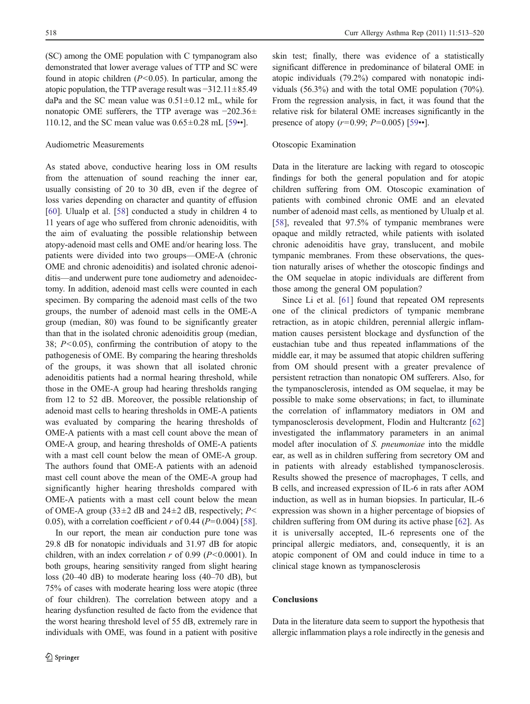(SC) among the OME population with C tympanogram also demonstrated that lower average values of TTP and SC were found in atopic children  $(P<0.05)$ . In particular, among the atopic population, the TTP average result was  $-312.11\pm85.49$ daPa and the SC mean value was  $0.51 \pm 0.12$  mL, while for nonatopic OME sufferers, the TTP average was −202.36± 110.12, and the SC mean value was  $0.65 \pm 0.28$  mL [[59](#page-7-0)••].

## Audiometric Measurements

As stated above, conductive hearing loss in OM results from the attenuation of sound reaching the inner ear, usually consisting of 20 to 30 dB, even if the degree of loss varies depending on character and quantity of effusion [\[60](#page-7-0)]. Ulualp et al. [\[58](#page-7-0)] conducted a study in children 4 to 11 years of age who suffered from chronic adenoiditis, with the aim of evaluating the possible relationship between atopy-adenoid mast cells and OME and/or hearing loss. The patients were divided into two groups—OME-A (chronic OME and chronic adenoiditis) and isolated chronic adenoiditis—and underwent pure tone audiometry and adenoidectomy. In addition, adenoid mast cells were counted in each specimen. By comparing the adenoid mast cells of the two groups, the number of adenoid mast cells in the OME-A group (median, 80) was found to be significantly greater than that in the isolated chronic adenoiditis group (median, 38;  $P<0.05$ ), confirming the contribution of atopy to the pathogenesis of OME. By comparing the hearing thresholds of the groups, it was shown that all isolated chronic adenoiditis patients had a normal hearing threshold, while those in the OME-A group had hearing thresholds ranging from 12 to 52 dB. Moreover, the possible relationship of adenoid mast cells to hearing thresholds in OME-A patients was evaluated by comparing the hearing thresholds of OME-A patients with a mast cell count above the mean of OME-A group, and hearing thresholds of OME-A patients with a mast cell count below the mean of OME-A group. The authors found that OME-A patients with an adenoid mast cell count above the mean of the OME-A group had significantly higher hearing thresholds compared with OME-A patients with a mast cell count below the mean of OME-A group (33 $\pm$ 2 dB and 24 $\pm$ 2 dB, respectively; P< 0.05), with a correlation coefficient r of 0.44 ( $P=0.004$ ) [[58\]](#page-7-0).

In our report, the mean air conduction pure tone was 29.8 dB for nonatopic individuals and 31.97 dB for atopic children, with an index correlation  $r$  of 0.99 ( $P < 0.0001$ ). In both groups, hearing sensitivity ranged from slight hearing loss (20–40 dB) to moderate hearing loss (40–70 dB), but 75% of cases with moderate hearing loss were atopic (three of four children). The correlation between atopy and a hearing dysfunction resulted de facto from the evidence that the worst hearing threshold level of 55 dB, extremely rare in individuals with OME, was found in a patient with positive skin test; finally, there was evidence of a statistically significant difference in predominance of bilateral OME in atopic individuals (79.2%) compared with nonatopic individuals (56.3%) and with the total OME population (70%). From the regression analysis, in fact, it was found that the relative risk for bilateral OME increases significantly in the presence of atopy  $(r=0.99; P=0.005)$  [[59](#page-7-0)••].

# Otoscopic Examination

Data in the literature are lacking with regard to otoscopic findings for both the general population and for atopic children suffering from OM. Otoscopic examination of patients with combined chronic OME and an elevated number of adenoid mast cells, as mentioned by Ulualp et al. [\[58](#page-7-0)], revealed that 97.5% of tympanic membranes were opaque and mildly retracted, while patients with isolated chronic adenoiditis have gray, translucent, and mobile tympanic membranes. From these observations, the question naturally arises of whether the otoscopic findings and the OM sequelae in atopic individuals are different from those among the general OM population?

Since Li et al. [[61\]](#page-7-0) found that repeated OM represents one of the clinical predictors of tympanic membrane retraction, as in atopic children, perennial allergic inflammation causes persistent blockage and dysfunction of the eustachian tube and thus repeated inflammations of the middle ear, it may be assumed that atopic children suffering from OM should present with a greater prevalence of persistent retraction than nonatopic OM sufferers. Also, for the tympanosclerosis, intended as OM sequelae, it may be possible to make some observations; in fact, to illuminate the correlation of inflammatory mediators in OM and tympanosclerosis development, Flodin and Hultcrantz [\[62](#page-7-0)] investigated the inflammatory parameters in an animal model after inoculation of S. pneumoniae into the middle ear, as well as in children suffering from secretory OM and in patients with already established tympanosclerosis. Results showed the presence of macrophages, T cells, and B cells, and increased expression of IL-6 in rats after AOM induction, as well as in human biopsies. In particular, IL-6 expression was shown in a higher percentage of biopsies of children suffering from OM during its active phase [[62\]](#page-7-0). As it is universally accepted, IL-6 represents one of the principal allergic mediators, and, consequently, it is an atopic component of OM and could induce in time to a clinical stage known as tympanosclerosis

# Conclusions

Data in the literature data seem to support the hypothesis that allergic inflammation plays a role indirectly in the genesis and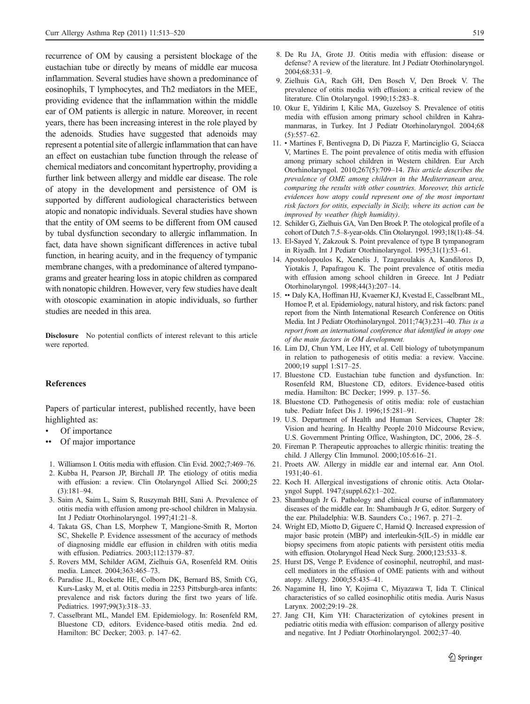<span id="page-6-0"></span>recurrence of OM by causing a persistent blockage of the eustachian tube or directly by means of middle ear mucosa inflammation. Several studies have shown a predominance of eosinophils, T lymphocytes, and Th2 mediators in the MEE, providing evidence that the inflammation within the middle ear of OM patients is allergic in nature. Moreover, in recent years, there has been increasing interest in the role played by the adenoids. Studies have suggested that adenoids may represent a potential site of allergic inflammation that can have an effect on eustachian tube function through the release of chemical mediators and concomitant hypertrophy, providing a further link between allergy and middle ear disease. The role of atopy in the development and persistence of OM is supported by different audiological characteristics between atopic and nonatopic individuals. Several studies have shown that the entity of OM seems to be different from OM caused by tubal dysfunction secondary to allergic inflammation. In fact, data have shown significant differences in active tubal function, in hearing acuity, and in the frequency of tympanic membrane changes, with a predominance of altered tympanograms and greater hearing loss in atopic children as compared with nonatopic children. However, very few studies have dealt with otoscopic examination in atopic individuals, so further studies are needed in this area.

Disclosure No potential conflicts of interest relevant to this article were reported.

#### References

Papers of particular interest, published recently, have been highlighted as:

- Of importance
- Of major importance
- 1. Williamson I. Otitis media with effusion. Clin Evid. 2002;7:469–76.
- 2. Kubba H, Pearson JP, Birchall JP. The etiology of otitis media with effusion: a review. Clin Otolaryngol Allied Sci. 2000;25 (3):181–94.
- 3. Saim A, Saim L, Saim S, Ruszymah BHI, Sani A. Prevalence of otitis media with effusion among pre-school children in Malaysia. Int J Pediatr Otorhinolaryngol. 1997;41:21–8.
- 4. Takata GS, Chan LS, Morphew T, Mangione-Smith R, Morton SC, Shekelle P. Evidence assessment of the accuracy of methods of diagnosing middle ear effusion in children with otitis media with effusion. Pediatrics. 2003;112:1379–87.
- 5. Rovers MM, Schilder AGM, Zielhuis GA, Rosenfeld RM. Otitis media. Lancet. 2004;363:465–73.
- 6. Paradise JL, Rockette HE, Colborn DK, Bernard BS, Smith CG, Kurs-Lasky M, et al. Otitis media in 2253 Pittsburgh-area infants: prevalence and risk factors during the first two years of life. Pediatrics. 1997;99(3):318–33.
- 7. Casselbrant ML, Mandel EM. Epidemiology. In: Rosenfeld RM, Bluestone CD, editors. Evidence-based otitis media. 2nd ed. Hamilton: BC Decker; 2003. p. 147–62.
- 8. De Ru JA, Grote JJ. Otitis media with effusion: disease or defense? A review of the literature. Int J Pediatr Otorhinolaryngol. 2004;68:331–9.
- 9. Zielhuis GA, Rach GH, Den Bosch V, Den Broek V. The prevalence of otitis media with effusion: a critical review of the literature. Clin Otolaryngol. 1990;15:283–8.
- 10. Okur E, Yildirim I, Kilic MA, Guzelsoy S. Prevalence of otitis media with effusion among primary school children in Kahramanmaras, in Turkey. Int J Pediatr Otorhinolaryngol. 2004;68  $(5):557-62.$
- 11. Martines F, Bentivegna D, Di Piazza F, Martinciglio G, Sciacca V, Martines E. The point prevalence of otitis media with effusion among primary school children in Western children. Eur Arch Otorhinolaryngol. 2010;267(5):709–14. This article describes the prevalence of OME among children in the Mediterranean area, comparing the results with other countries. Moreover, this article evidences how atopy could represent one of the most important risk factors for otitis, especially in Sicily, where its action can be improved by weather (high humidity).
- 12. Schilder G, Zielhuis GA, Van Den Broek P. The otological profile of a cohort of Dutch 7.5–8-year-olds. Clin Otolaryngol. 1993;18(1):48–54.
- 13. El-Sayed Y, Zakzouk S. Point prevalence of type B tympanogram in Riyadh. Int J Pediatr Otorhinolaryngol. 1995;31(1):53–61.
- 14. Apostolopoulos K, Xenelis J, Tzagaroulakis A, Kandiloros D, Yiotakis J, Papafragou K. The point prevalence of otitis media with effusion among school children in Greece. Int J Pediatr Otorhinolaryngol. 1998;44(3):207–14.
- 15. •• Daly KA, Hoffman HJ, Kvaerner KJ, Kvestad E, Casselbrant ML, Homoe P, et al. Epidemiology, natural history, and risk factors: panel report from the Ninth International Research Conference on Otitis Media. Int J Pediatr Otorhinolaryngol. 2011;74(3):231–40. This is a report from an international conference that identified in atopy one of the main factors in OM development.
- 16. Lim DJ, Chun YM, Lee HY, et al. Cell biology of tubotympanum in relation to pathogenesis of otitis media: a review. Vaccine. 2000;19 suppl 1:S17–25.
- 17. Bluestone CD. Eustachian tube function and dysfunction. In: Rosenfeld RM, Bluestone CD, editors. Evidence-based otitis media. Hamilton: BC Decker; 1999. p. 137–56.
- 18. Bluestone CD. Pathogenesis of otitis media: role of eustachian tube. Pediatr Infect Dis J. 1996;15:281–91.
- 19. U.S. Department of Health and Human Services, Chapter 28: Vision and hearing. In Healthy People 2010 Midcourse Review, U.S. Government Printing Office, Washington, DC, 2006, 28–5.
- 20. Fireman P. Therapeutic approaches to allergic rhinitis: treating the child. J Allergy Clin Immunol. 2000;105:616–21.
- 21. Proets AW. Allergy in middle ear and internal ear. Ann Otol. 1931;40–61.
- 22. Koch H. Allergical investigations of chronic otitis. Acta Otolaryngol Suppl. 1947;(suppl.62):1–202.
- 23. Shambaugh Jr G. Pathology and clinical course of inflammatory diseases of the middle ear. In: Shambaugh Jr G, editor. Surgery of the ear. Philadelphia: W.B. Saunders Co.; 1967. p. 271–2.
- 24. Wright ED, Miotto D, Giguere C, Hamid Q. Increased expression of major basic protein (MBP) and interleukin-5(IL-5) in middle ear biopsy specimens from atopic patients with persistent otitis media with effusion. Otolaryngol Head Neck Surg. 2000;123:533–8.
- 25. Hurst DS, Venge P. Evidence of eosinophil, neutrophil, and mastcell mediators in the effusion of OME patients with and without atopy. Allergy. 2000;55:435–41.
- 26. Nagamine H, Iino Y, Kojima C, Miyazawa T, Iida T. Clinical characteristics of so called eosinophilic otitis media. Auris Nasus Larynx. 2002;29:19–28.
- 27. Jang CH, Kim YH: Characterization of cytokines present in pediatric otitis media with effusion: comparison of allergy positive and negative. Int J Pediatr Otorhinolaryngol. 2002;37–40.